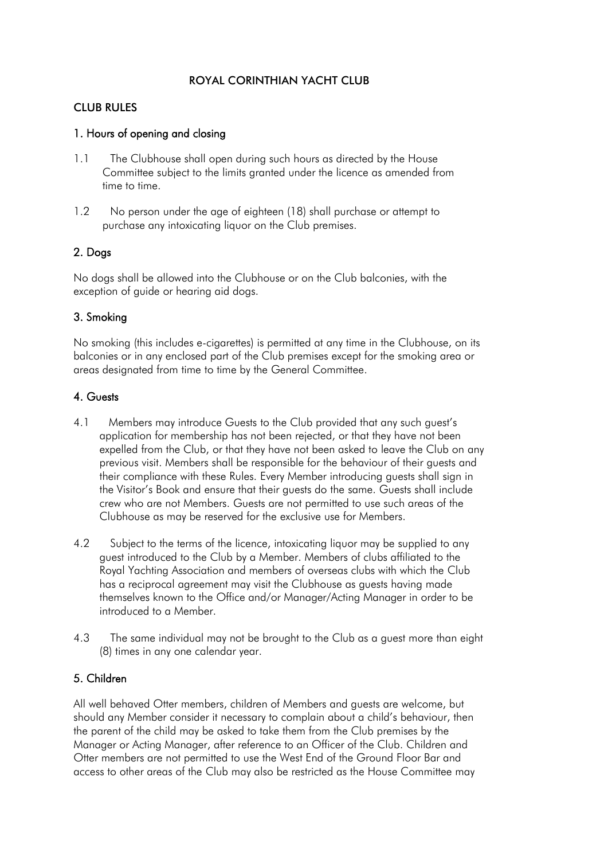# ROYAL CORINTHIAN YACHT CLUB

### CLUB RULES

### 1. Hours of opening and closing

- 1.1 The Clubhouse shall open during such hours as directed by the House Committee subject to the limits granted under the licence as amended from time to time.
- 1.2 No person under the age of eighteen (18) shall purchase or attempt to purchase any intoxicating liquor on the Club premises.

# 2. Dogs

No dogs shall be allowed into the Clubhouse or on the Club balconies, with the exception of guide or hearing aid dogs.

# 3. Smoking

No smoking (this includes e-cigarettes) is permitted at any time in the Clubhouse, on its balconies or in any enclosed part of the Club premises except for the smoking area or areas designated from time to time by the General Committee.

### 4. Guests

- 4.1 Members may introduce Guests to the Club provided that any such guest's application for membership has not been rejected, or that they have not been expelled from the Club, or that they have not been asked to leave the Club on any previous visit. Members shall be responsible for the behaviour of their guests and their compliance with these Rules. Every Member introducing guests shall sign in the Visitor's Book and ensure that their guests do the same. Guests shall include crew who are not Members. Guests are not permitted to use such areas of the Clubhouse as may be reserved for the exclusive use for Members.
- 4.2 Subject to the terms of the licence, intoxicating liquor may be supplied to any guest introduced to the Club by a Member. Members of clubs affiliated to the Royal Yachting Association and members of overseas clubs with which the Club has a reciprocal agreement may visit the Clubhouse as guests having made themselves known to the Office and/or Manager/Acting Manager in order to be introduced to a Member.
- 4.3 The same individual may not be brought to the Club as a guest more than eight (8) times in any one calendar year.

# 5. Children

All well behaved Otter members, children of Members and guests are welcome, but should any Member consider it necessary to complain about a child's behaviour, then the parent of the child may be asked to take them from the Club premises by the Manager or Acting Manager, after reference to an Officer of the Club. Children and Otter members are not permitted to use the West End of the Ground Floor Bar and access to other areas of the Club may also be restricted as the House Committee may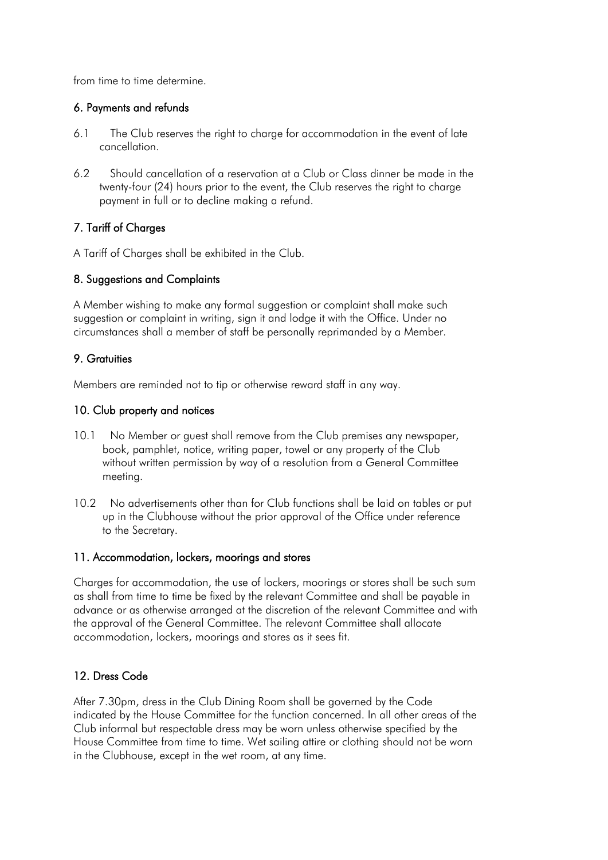from time to time determine.

### 6. Payments and refunds

- 6.1 The Club reserves the right to charge for accommodation in the event of late cancellation.
- 6.2 Should cancellation of a reservation at a Club or Class dinner be made in the twenty-four (24) hours prior to the event, the Club reserves the right to charge payment in full or to decline making a refund.

# 7. Tariff of Charges

A Tariff of Charges shall be exhibited in the Club.

### 8. Suggestions and Complaints

A Member wishing to make any formal suggestion or complaint shall make such suggestion or complaint in writing, sign it and lodge it with the Office. Under no circumstances shall a member of staff be personally reprimanded by a Member.

### 9. Gratuities

Members are reminded not to tip or otherwise reward staff in any way.

### 10. Club property and notices

- 10.1 No Member or guest shall remove from the Club premises any newspaper, book, pamphlet, notice, writing paper, towel or any property of the Club without written permission by way of a resolution from a General Committee meeting.
- 10.2 No advertisements other than for Club functions shall be laid on tables or put up in the Clubhouse without the prior approval of the Office under reference to the Secretary.

#### 11. Accommodation, lockers, moorings and stores

Charges for accommodation, the use of lockers, moorings or stores shall be such sum as shall from time to time be fixed by the relevant Committee and shall be payable in advance or as otherwise arranged at the discretion of the relevant Committee and with the approval of the General Committee. The relevant Committee shall allocate accommodation, lockers, moorings and stores as it sees fit.

#### 12. Dress Code

After 7.30pm, dress in the Club Dining Room shall be governed by the Code indicated by the House Committee for the function concerned. In all other areas of the Club informal but respectable dress may be worn unless otherwise specified by the House Committee from time to time. Wet sailing attire or clothing should not be worn in the Clubhouse, except in the wet room, at any time.